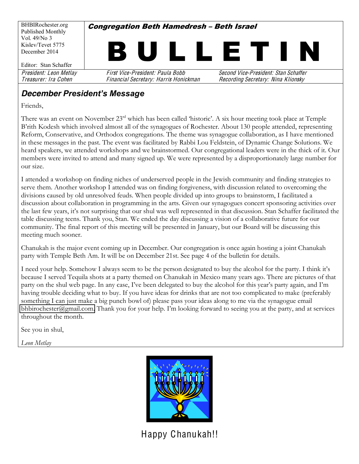

#### **December President's Message**

Friends,

There was an event on November 23<sup>rd</sup> which has been called 'historic'. A six hour meeting took place at Temple B'rith Kodesh which involved almost all of the synagogues of Rochester. About 130 people attended, representing Reform, Conservative, and Orthodox congregations. The theme was synagogue collaboration, as I have mentioned in these messages in the past. The event was facilitated by Rabbi Lou Feldstein, of Dynamic Change Solutions. We heard speakers, we attended workshops and we brainstormed. Our congregational leaders were in the thick of it. Our members were invited to attend and many signed up. We were represented by a disproportionately large number for our size.

I attended a workshop on finding niches of underserved people in the Jewish community and finding strategies to serve them. Another workshop I attended was on finding forgiveness, with discussion related to overcoming the divisions caused by old unresolved feuds. When people divided up into groups to brainstorm, I facilitated a discussion about collaboration in programming in the arts. Given our synagogues concert sponsoring activities over the last few years, it's not surprising that our shul was well represented in that discussion. Stan Schaffer facilitated the table discussing teens. Thank you, Stan. We ended the day discussing a vision of a collaborative future for our community. The final report of this meeting will be presented in January, but our Board will be discussing this meeting much sooner.

Chanukah is the major event coming up in December. Our congregation is once again hosting a joint Chanukah party with Temple Beth Am. It will be on December 21st. See page 4 of the bulletin for details.

I need your help. Somehow I always seem to be the person designated to buy the alcohol for the party. I think it's because I served Tequila shots at a party themed on Chanukah in Mexico many years ago. There are pictures of that party on the shul web page. In any case, I've been delegated to buy the alcohol for this year's party again, and I'm having trouble deciding what to buy. If you have ideas for drinks that are not too complicated to make (preferably something I can just make a big punch bowl of) please pass your ideas along to me via the synagogue email [bhbirochester@gmail.com](mailto:bhbirochester@gmail.com). Thank you for your help. I'm looking forward to seeing you at the party, and at services throughout the month.

See you in shul,

*Leon Metlay*



Happy Chanukah!!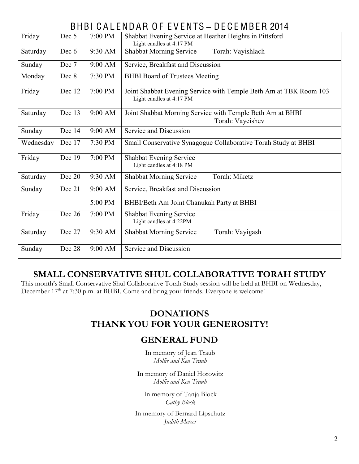# BHBI C A L ENDAR O F E V ENTS **±** DE C E MBER 2014

| Friday    | Dec 5  | 7:00 PM | Shabbat Evening Service at Heather Heights in Pittsford<br>Light candles at 4:17 PM           |  |  |  |  |  |
|-----------|--------|---------|-----------------------------------------------------------------------------------------------|--|--|--|--|--|
| Saturday  | Dec 6  | 9:30 AM | Torah: Vayishlach<br><b>Shabbat Morning Service</b>                                           |  |  |  |  |  |
| Sunday    | Dec 7  | 9:00 AM | Service, Breakfast and Discussion                                                             |  |  |  |  |  |
| Monday    | Dec 8  | 7:30 PM | <b>BHBI</b> Board of Trustees Meeting                                                         |  |  |  |  |  |
| Friday    | Dec 12 | 7:00 PM | Joint Shabbat Evening Service with Temple Beth Am at TBK Room 103<br>Light candles at 4:17 PM |  |  |  |  |  |
| Saturday  | Dec 13 | 9:00 AM | Joint Shabbat Morning Service with Temple Beth Am at BHBI<br>Torah: Vayeishev                 |  |  |  |  |  |
| Sunday    | Dec 14 | 9:00 AM | Service and Discussion                                                                        |  |  |  |  |  |
| Wednesday | Dec 17 | 7:30 PM | Small Conservative Synagogue Collaborative Torah Study at BHBI                                |  |  |  |  |  |
| Friday    | Dec 19 | 7:00 PM | <b>Shabbat Evening Service</b><br>Light candles at 4:18 PM                                    |  |  |  |  |  |
| Saturday  | Dec 20 | 9:30 AM | Torah: Miketz<br><b>Shabbat Morning Service</b>                                               |  |  |  |  |  |
| Sunday    | Dec 21 | 9:00 AM | Service, Breakfast and Discussion                                                             |  |  |  |  |  |
|           |        | 5:00 PM | BHBI/Beth Am Joint Chanukah Party at BHBI                                                     |  |  |  |  |  |
| Friday    | Dec 26 | 7:00 PM | Shabbat Evening Service<br>Light candles at 4:22PM                                            |  |  |  |  |  |
| Saturday  | Dec 27 | 9:30 AM | <b>Shabbat Morning Service</b><br>Torah: Vayigash                                             |  |  |  |  |  |
| Sunday    | Dec 28 | 9:00 AM | Service and Discussion                                                                        |  |  |  |  |  |

## **SMALL CONSERVATIVE SHUL COLLABORATIVE TORAH STUDY**

This month's Small Conservative Shul Collaborative Torah Study session will be held at BHBI on Wednesday, December 17<sup>th</sup> at 7:30 p.m. at BHBI. Come and bring your friends. Everyone is welcome!

## **DONATIONS THANK YOU FOR YOUR GENEROSITY!**

#### **GENERAL FUND**

In memory of Jean Traub *Mollie and Ken Traub*

In memory of Daniel Horowitz *Mollie and Ken Traub*

In memory of Tanja Block *Cathy Block*

In memory of Bernard Lipschutz *Judith Mercer*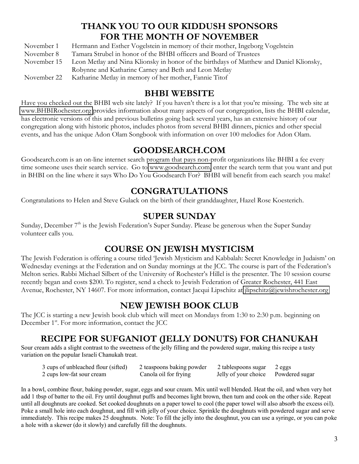# **THANK YOU TO OUR KIDDUSH SPONSORS FOR THE MONTH OF NOVEMBER**

November 1 Hermann and Esther Vogelstein in memory of their mother, Ingeborg Vogelstein November 8 Tamara Strubel in honor of the BHBI officers and Board of Trustees November 15 Leon Metlay and Nina Klionsky in honor of the birthdays of Matthew and Daniel Klionsky, Robynne and Katharine Carney and Beth and Leon Metlay November 22 Katharine Metlay in memory of her mother, Fannie Titof

#### **BHBI WEBSITE**

Have you checked out the BHBI web site lately? If you haven't there is a lot that you're missing. The web site at [www.BHBIRochester.org](http://www.bhbirochester.org/) provides information about many aspects of our congregation, lists the BHBI calendar, has electronic versions of this and previous bulletins going back several years, has an extensive history of our congregation along with historic photos, includes photos from several BHBI dinners, picnics and other special events, and has the unique Adon Olam Songbook with information on over 100 melodies for Adon Olam.

#### **GOODSEARCH.COM**

Goodsearch.com is an on-line internet search program that pays non-profit organizations like BHBI a fee every time someone uses their search service. Go to [www.goodsearch.com,](http://www.goodsearch.com/) enter the search term that you want and put in BHBI on the line where it says Who Do You Goodsearch For? BHBI will benefit from each search you make!

#### **CONGRATULATIONS**

Congratulations to Helen and Steve Gulack on the birth of their granddaughter, Hazel Rose Koesterich.

#### **SUPER SUNDAY**

Sunday, December 7<sup>th</sup> is the Jewish Federation's Super Sunday. Please be generous when the Super Sunday volunteer calls you.

## **COURSE ON JEWISH MYSTICISM**

The Jewish Federation is offering a course titled 'Jewish Mysticism and Kabbalah: Secret Knowledge in Judaism' on Wednesday evenings at the Federation and on Sunday mornings at the JCC. The course is part of the Federation's Melton series. Rabbi Michael Silbert of the University of Rochester's Hillel is the presenter. The 10 session course recently began and costs \$200. To register, send a check to Jewish Federation of Greater Rochester, 441 East Avenue, Rochester, NY 14607. For more information, contact Jacqui Lipschitz at [jlipschitz@jewishrochester.org](mailto:jlipschitz@jewishrochester.org)

## **NEW JEWISH BOOK CLUB**

The JCC is starting a new Jewish book club which will meet on Mondays from 1:30 to 2:30 p.m. beginning on December 1<sup>st</sup>. For more information, contact the JCC

## **RECIPE FOR SUFGANIOT (JELLY DONUTS) FOR CHANUKAH**

Sour cream adds a slight contrast to the sweetness of the jelly filling and the powdered sugar, making this recipe a tasty variation on the popular Israeli Chanukah treat.

| 3 cups of unbleached flour (sifted) | 2 teaspoons baking powder | 2 tablespoons sugar 2 eggs          |  |
|-------------------------------------|---------------------------|-------------------------------------|--|
| 2 cups low-fat sour cream           | Canola oil for frying     | Jelly of your choice Powdered sugar |  |

In a bowl, combine flour, baking powder, sugar, eggs and sour cream. Mix until well blended. Heat the oil, and when very hot add 1 tbsp of batter to the oil. Fry until doughnut puffs and becomes light brown, then turn and cook on the other side. Repeat until all doughnuts are cooked. Set cooked doughnuts on a paper towel to cool (the paper towel will also absorb the excess oil). Poke a small hole into each doughnut, and fill with jelly of your choice. Sprinkle the doughnuts with powdered sugar and serve immediately. This recipe makes 25 doughnuts. Note: To fill the jelly into the doughnut, you can use a syringe, or you can poke a hole with a skewer (do it slowly) and carefully fill the doughnuts.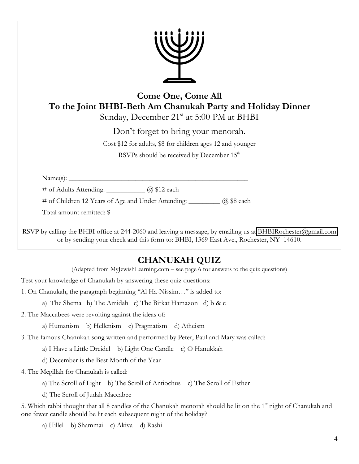| <b>Come One, Come All</b><br>To the Joint BHBI-Beth Am Chanukah Party and Holiday Dinner<br>Sunday, December 21 <sup>st</sup> at 5:00 PM at BHBI                                                      |
|-------------------------------------------------------------------------------------------------------------------------------------------------------------------------------------------------------|
| Don't forget to bring your menorah.                                                                                                                                                                   |
| Cost \$12 for adults, \$8 for children ages 12 and younger                                                                                                                                            |
| RSVPs should be received by December 15 <sup>th</sup>                                                                                                                                                 |
|                                                                                                                                                                                                       |
| # of Adults Attending: ____________ @ \$12 each                                                                                                                                                       |
| # of Children 12 Years of Age and Under Attending: _________ @ \$8 each                                                                                                                               |
| Total amount remitted: \$                                                                                                                                                                             |
| RSVP by calling the BHBI office at 244-2060 and leaving a message, by emailing us at BHBIRochester@gmail.com<br>or by sending your check and this form to: BHBI, 1369 East Ave., Rochester, NY 14610. |

# **CHANUKAH QUIZ**

(Adapted from MyJewishLearning.com - see page 6 for answers to the quiz questions)

Test your knowledge of Chanukah by answering these quiz questions:

1. On Chanukah, the paragraph beginning "Al Ha-Nissim..." is added to:

a) The Shema b) The Amidah c) The Birkat Hamazon d) b & c

2. The Maccabees were revolting against the ideas of:

a) Humanism b) Hellenism c) Pragmatism d) Atheism

3. The famous Chanukah song written and performed by Peter, Paul and Mary was called:

a) I Have a Little Dreidel b) Light One Candle c) O Hanukkah

d) December is the Best Month of the Year

4. The Megillah for Chanukah is called:

a) The Scroll of Light b) The Scroll of Antiochus c) The Scroll of Esther

d) The Scroll of Judah Maccabee

5. Which rabbi thought that all 8 candles of the Chanukah menorah should be lit on the 1<sup>st</sup> night of Chanukah and one fewer candle should be lit each subsequent night of the holiday?

a) Hillel b) Shammai c) Akiva d) Rashi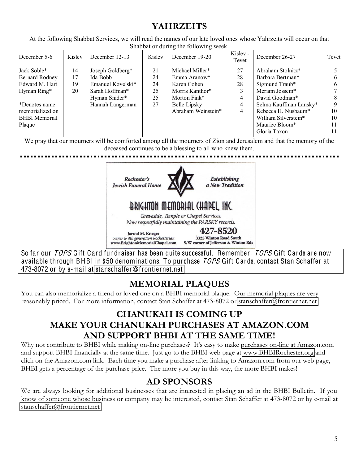## **YAHRZEITS**

At the following Shabbat Services, we will read the names of our late loved ones whose Yahrzeits will occur on that Shabbat or during the following week.

| December 5-6                                                                    | Kisley               | December 12-13                                                                                           | Kislev                           | December 19-20                                                                    | Kislev -<br>Tevet        | December 26-27                                                                                          | Tevet                |
|---------------------------------------------------------------------------------|----------------------|----------------------------------------------------------------------------------------------------------|----------------------------------|-----------------------------------------------------------------------------------|--------------------------|---------------------------------------------------------------------------------------------------------|----------------------|
| Jack Soble*<br>Bernard Rodney<br>Edward M. Hart<br>Hyman Ring*<br>*Denotes name | 14<br>17<br>19<br>20 | Joseph Goldberg*<br>Ida Bobb<br>Emanuel Kovelski*<br>Sarah Hoffman*<br>Hyman Snider*<br>Hannah Langerman | 21<br>24<br>24<br>25<br>25<br>27 | Michael Miller*<br>Emma Aranow*<br>Karen Cohen<br>Morris Kanthor*<br>Morton Fink* | 27<br>28<br>28<br>4<br>4 | Abraham Stolnitz*<br>Barbara Bertman*<br>Sigmund Traub*<br>Meriam Jossem*<br>David Goodman*             | h<br>h               |
| memorialized on<br><b>BHBI</b> Memorial<br>Plaque                               |                      |                                                                                                          |                                  | Belle Lipsky<br>Abraham Weinstein*                                                | 4                        | Selma Kauffman Lansky*<br>Rebecca H. Nusbaum*<br>William Silverstein*<br>Maurice Bloom*<br>Gloria Taxon | 10<br>10<br>11<br>11 |

We pray that our mourners will be comforted among all the mourners of Zion and Jerusalem and that the memory of the deceased continues to be a blessing to all who knew them.



So far our TOPS Gift Card fundraiser has been quite successful. Remember, TOPS Gift Cards are now available through BHBI in \$50 denominations. To purchase TOPS Gift Cards, contact Stan Schaffer at 473-8072 or by e-mail at stanschaffe[r@fronti](mailto:stanschaffer@frontiernet.net)ernet.net

## **MEMORIAL PLAQUES**

You can also memorialize a friend or loved one on a BHBI memorial plaque. Our memorial plaques are very reasonably priced. For more information, contact Stan Schaffer at 473-8072 or [stanschaffer@frontiernet.net](mailto:stanschaffer@frontiernet.net)

## **CHANUKAH IS COMING UP MAKE YOUR CHANUKAH PURCHASES AT AMAZON.COM AND SUPPORT BHBI AT THE SAME TIME!**

Why not contribute to BHBI while making on-line purchases? It's easy to make purchases on-line at Amazon.com and support BHBI financially at the same time. Just go to the BHBI web page at [www.BHBIRochester.org](http://www.bhbirochester.org/) and click on the Amazon.com link. Each time you make a purchase after linking to Amazon.com from our web page, BHBI gets a percentage of the purchase price. The more you buy in this way, the more BHBI makes!

## **AD SPONSORS**

We are always looking for additional businesses that are interested in placing an ad in the BHBI Bulletin. If you know of someone whose business or company may be interested, contact Stan Schaffer at 473-8072 or by e-mail at [stanschaffer@frontiernet.net](mailto:stanschaffer@frontiernet.net)